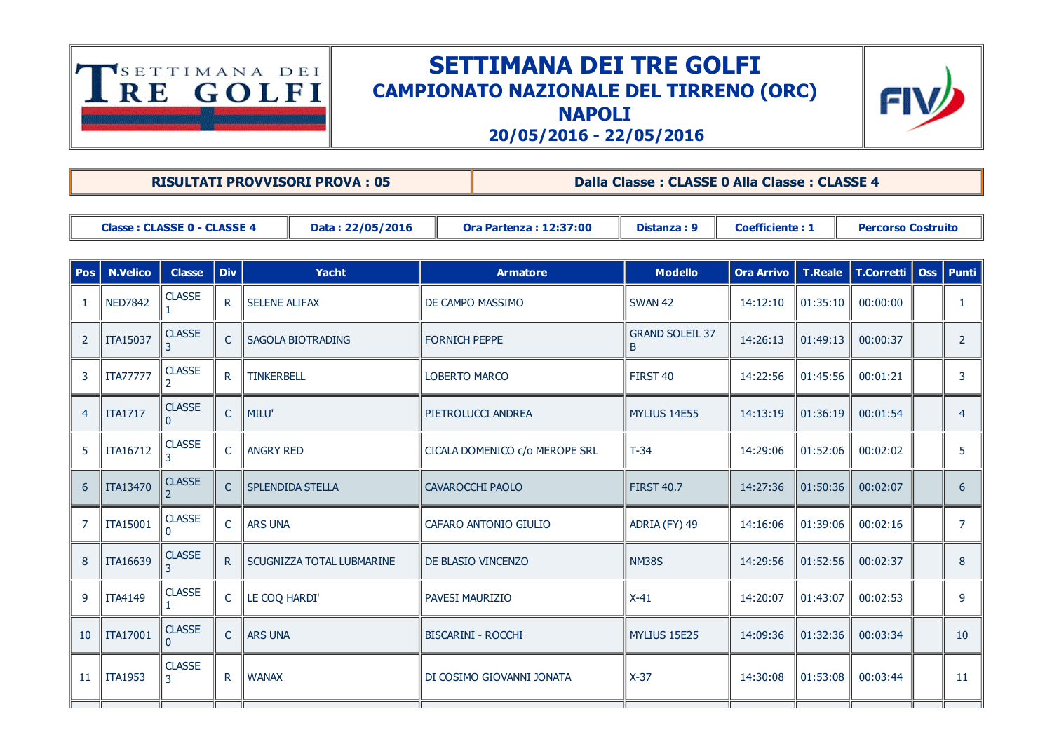

## SETTIMANA DEI TRE GOLFI CAMPIONATO NAZIONALE DEL TIRRENO (ORC) **NAPOLI**



20/05/2016 22/05/2016

RISULTATI PROVVISORI PROVA : 05 Dalla Classe : CLASSE 0 Alla Classe : CLASSE 4

| Classe: CLASSE 0 - CLASSE 4 | Data: 22/05/2016 | 12:37:00<br><b>Ora Partenza:</b> | Distanza: 9 | <b>Coefficiente: 1</b> | <b>Percorso Costruito</b> |
|-----------------------------|------------------|----------------------------------|-------------|------------------------|---------------------------|
|                             |                  |                                  |             |                        |                           |

| <b>Pos</b>     | <b>N.Velico</b> | <b>Classe</b>      | <b>Div</b>   | Yacht                            | <b>Armatore</b>                | <b>Modello</b>              | Ora Arrivo   T.Reale   T.Corretti   Oss   Punti |          |          |                 |
|----------------|-----------------|--------------------|--------------|----------------------------------|--------------------------------|-----------------------------|-------------------------------------------------|----------|----------|-----------------|
| $\mathbf{1}$   | <b>NED7842</b>  | <b>CLASSE</b>      | R.           | <b>SELENE ALIFAX</b>             | DE CAMPO MASSIMO               | <b>SWAN 42</b>              | 14:12:10                                        | 01:35:10 | 00:00:00 |                 |
| $\overline{2}$ | ITA15037        | <b>CLASSE</b><br>3 | $\mathsf{C}$ | SAGOLA BIOTRADING                | <b>FORNICH PEPPE</b>           | <b>GRAND SOLEIL 37</b><br>B | 14:26:13                                        | 01:49:13 | 00:00:37 | 2               |
| 3              | <b>ITA77777</b> | <b>CLASSE</b>      | $\mathsf{R}$ | <b>TINKERBELL</b>                | <b>LOBERTO MARCO</b>           | FIRST 40                    | 14:22:56                                        | 01:45:56 | 00:01:21 | 3               |
| $\overline{4}$ | <b>ITA1717</b>  | <b>CLASSE</b><br>O | $\mathsf{C}$ | MILU'                            | PIETROLUCCI ANDREA             | MYLIUS 14E55                | 14:13:19                                        | 01:36:19 | 00:01:54 | 4               |
| 5              | ITA16712        | <b>CLASSE</b><br>3 | $\mathsf{C}$ | ANGRY RED                        | CICALA DOMENICO c/o MEROPE SRL | $T-34$                      | 14:29:06                                        | 01:52:06 | 00:02:02 | 5               |
| 6              | <b>ITA13470</b> | <b>CLASSE</b>      | $\mathsf{C}$ | <b>SPLENDIDA STELLA</b>          | <b>CAVAROCCHI PAOLO</b>        | <b>FIRST 40.7</b>           | 14:27:36                                        | 01:50:36 | 00:02:07 | 6               |
| $\overline{7}$ | <b>ITA15001</b> | <b>CLASSE</b><br>0 | $\mathsf{C}$ | <b>ARS UNA</b>                   | CAFARO ANTONIO GIULIO          | ADRIA (FY) 49               | 14:16:06                                        | 01:39:06 | 00:02:16 | $\overline{7}$  |
| 8              | <b>ITA16639</b> | <b>CLASSE</b><br>3 | $R_{\perp}$  | <b>SCUGNIZZA TOTAL LUBMARINE</b> | DE BLASIO VINCENZO             | <b>NM38S</b>                | 14:29:56                                        | 01:52:56 | 00:02:37 | 8               |
| 9              | <b>ITA4149</b>  | <b>CLASSE</b>      | $\mathsf{C}$ | LE COQ HARDI'                    | PAVESI MAURIZIO                | $X-41$                      | 14:20:07                                        | 01:43:07 | 00:02:53 | 9               |
| 10             | <b>ITA17001</b> | <b>CLASSE</b>      | $\mathsf{C}$ | <b>ARS UNA</b>                   | <b>BISCARINI - ROCCHI</b>      | MYLIUS 15E25                | 14:09:36                                        | 01:32:36 | 00:03:34 | 10 <sup>°</sup> |
| 11             | <b>ITA1953</b>  | <b>CLASSE</b><br>3 | $\mathsf{R}$ | <b>WANAX</b>                     | DI COSIMO GIOVANNI JONATA      | $X-37$                      | 14:30:08                                        | 01:53:08 | 00:03:44 | 11              |
|                |                 |                    |              |                                  |                                |                             |                                                 |          |          |                 |